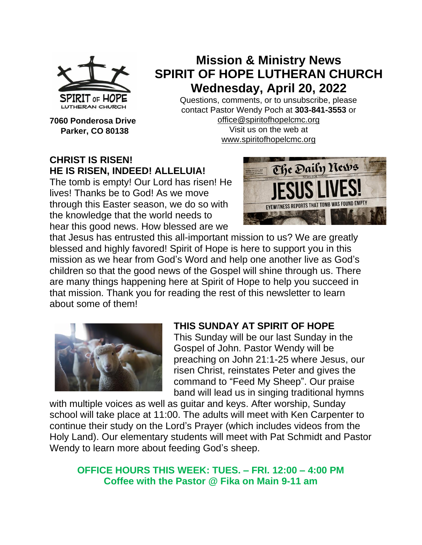

**7060 Ponderosa Drive Parker, CO 80138**

# **Mission & Ministry News SPIRIT OF HOPE LUTHERAN CHURCH Wednesday, April 20, 2022**

Questions, comments, or to unsubscribe, please contact Pastor Wendy Poch at **303-841-3553** or [office@spiritofhopelcmc.org](mailto:office@spiritofhopelcmc.org)

Visit us on the web at [www.spiritofhopelcmc.org](http://www.spiritofhopelcmc.org/)

# **CHRIST IS RISEN! HE IS RISEN, INDEED! ALLELUIA!**

The tomb is empty! Our Lord has risen! He lives! Thanks be to God! As we move through this Easter season, we do so with the knowledge that the world needs to hear this good news. How blessed are we



that Jesus has entrusted this all-important mission to us? We are greatly blessed and highly favored! Spirit of Hope is here to support you in this mission as we hear from God's Word and help one another live as God's children so that the good news of the Gospel will shine through us. There are many things happening here at Spirit of Hope to help you succeed in that mission. Thank you for reading the rest of this newsletter to learn about some of them!



# **THIS SUNDAY AT SPIRIT OF HOPE**

This Sunday will be our last Sunday in the Gospel of John. Pastor Wendy will be preaching on John 21:1-25 where Jesus, our risen Christ, reinstates Peter and gives the command to "Feed My Sheep". Our praise band will lead us in singing traditional hymns

with multiple voices as well as guitar and keys. After worship, Sunday school will take place at 11:00. The adults will meet with Ken Carpenter to continue their study on the Lord's Prayer (which includes videos from the Holy Land). Our elementary students will meet with Pat Schmidt and Pastor Wendy to learn more about feeding God's sheep.

# **OFFICE HOURS THIS WEEK: TUES. – FRI. 12:00 – 4:00 PM Coffee with the Pastor @ Fika on Main 9-11 am**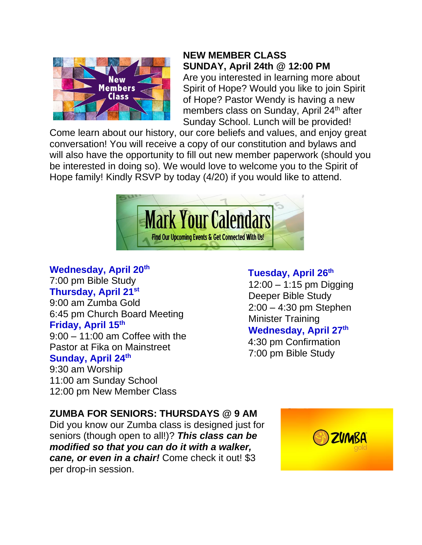

# **NEW MEMBER CLASS SUNDAY, April 24th @ 12:00 PM**

Are you interested in learning more about Spirit of Hope? Would you like to join Spirit of Hope? Pastor Wendy is having a new members class on Sunday, April 24<sup>th</sup> after Sunday School. Lunch will be provided!

Come learn about our history, our core beliefs and values, and enjoy great conversation! You will receive a copy of our constitution and bylaws and will also have the opportunity to fill out new member paperwork (should you be interested in doing so). We would love to welcome you to the Spirit of Hope family! Kindly RSVP by today (4/20) if you would like to attend.



# **Wednesday, April 20th**

7:00 pm Bible Study **Thursday, April 21st** 9:00 am Zumba Gold 6:45 pm Church Board Meeting **Friday, April 15th** 9:00 – 11:00 am Coffee with the Pastor at Fika on Mainstreet

#### **Sunday, April 24th**

9:30 am Worship 11:00 am Sunday School 12:00 pm New Member Class

# **Tuesday, April 26th**

12:00 – 1:15 pm Digging Deeper Bible Study 2:00 – 4:30 pm Stephen Minister Training **Wednesday, April 27 th**

4:30 pm Confirmation 7:00 pm Bible Study

# **ZUMBA FOR SENIORS: THURSDAYS @ 9 AM**

Did you know our Zumba class is designed just for seniors (though open to all!)? *This class can be modified so that you can do it with a walker, cane, or even in a chair!* Come check it out! \$3 per drop-in session.

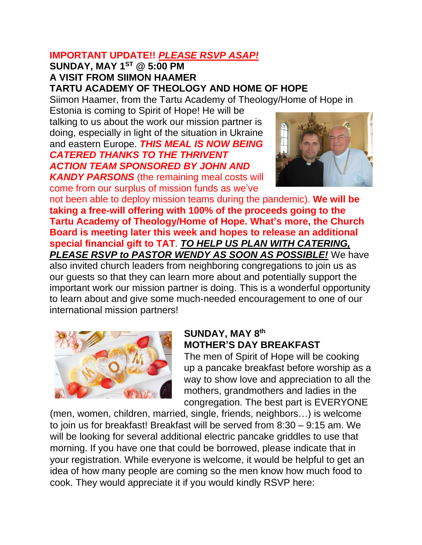## **IMPORTANT UPDATE!!** *PLEASE RSVP ASAP!*

#### **SUNDAY, MAY 1ST @ 5:00 PM A VISIT FROM SIIMON HAAMER TARTU ACADEMY OF THEOLOGY AND HOME OF HOPE**

Siimon Haamer, from the Tartu Academy of Theology/Home of Hope in

Estonia is coming to Spirit of Hope! He will be talking to us about the work our mission partner is doing, especially in light of the situation in Ukraine and eastern Europe. *THIS MEAL IS NOW BEING CATERED THANKS TO THE THRIVENT ACTION TEAM SPONSORED BY JOHN AND* 

*KANDY PARSONS* (the remaining meal costs will come from our surplus of mission funds as we've



not been able to deploy mission teams during the pandemic). **We will be taking a free-will offering with 100% of the proceeds going to the Tartu Academy of Theology/Home of Hope. What's more, the Church Board is meeting later this week and hopes to release an additional special financial gift to TAT**. *TO HELP US PLAN WITH CATERING, PLEASE RSVP to PASTOR WENDY AS SOON AS POSSIBLE!* We have also invited church leaders from neighboring congregations to join us as our guests so that they can learn more about and potentially support the

important work our mission partner is doing. This is a wonderful opportunity to learn about and give some much-needed encouragement to one of our international mission partners!



# **SUNDAY, MAY 8th MOTHER'S DAY BREAKFAST**

The men of Spirit of Hope will be cooking up a pancake breakfast before worship as a way to show love and appreciation to all the mothers, grandmothers and ladies in the congregation. The best part is EVERYONE

(men, women, children, married, single, friends, neighbors…) is welcome to join us for breakfast! Breakfast will be served from 8:30 – 9:15 am. We will be looking for several additional electric pancake griddles to use that morning. If you have one that could be borrowed, please indicate that in your registration. While everyone is welcome, it would be helpful to get an idea of how many people are coming so the men know how much food to cook. They would appreciate it if you would kindly RSVP here: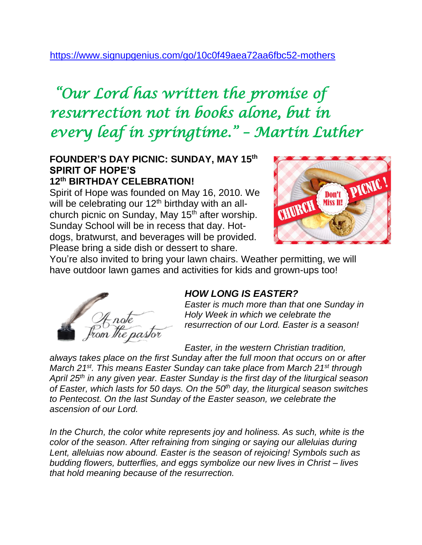# <https://www.signupgenius.com/go/10c0f49aea72aa6fbc52-mothers>

# *"Our Lord has written the promise of resurrection not in books alone, but in every leaf in springtime." – Martin Luther*

#### **FOUNDER'S DAY PICNIC: SUNDAY, MAY 15th SPIRIT OF HOPE'S 12th BIRTHDAY CELEBRATION!**

Spirit of Hope was founded on May 16, 2010. We will be celebrating our 12<sup>th</sup> birthday with an allchurch picnic on Sunday, May 15<sup>th</sup> after worship. Sunday School will be in recess that day. Hotdogs, bratwurst, and beverages will be provided. Please bring a side dish or dessert to share.



You're also invited to bring your lawn chairs. Weather permitting, we will have outdoor lawn games and activities for kids and grown-ups too!



## *HOW LONG IS EASTER?*

*Easter is much more than that one Sunday in Holy Week in which we celebrate the resurrection of our Lord. Easter is a season!*

*Easter, in the western Christian tradition,* 

*always takes place on the first Sunday after the full moon that occurs on or after March 21st . This means Easter Sunday can take place from March 21st through April 25th in any given year. Easter Sunday is the first day of the liturgical season of Easter, which lasts for 50 days. On the 50th day, the liturgical season switches to Pentecost. On the last Sunday of the Easter season, we celebrate the ascension of our Lord.*

In the Church, the color white represents joy and holiness. As such, white is the *color of the season. After refraining from singing or saying our alleluias during Lent, alleluias now abound. Easter is the season of rejoicing! Symbols such as budding flowers, butterflies, and eggs symbolize our new lives in Christ – lives that hold meaning because of the resurrection.*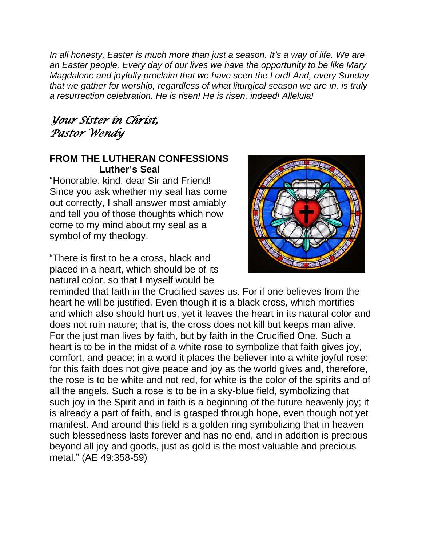*In all honesty, Easter is much more than just a season. It's a way of life. We are an Easter people. Every day of our lives we have the opportunity to be like Mary Magdalene and joyfully proclaim that we have seen the Lord! And, every Sunday that we gather for worship, regardless of what liturgical season we are in, is truly a resurrection celebration. He is risen! He is risen, indeed! Alleluia!*

# *Your Sister in Christ, Pastor Wendy*

## **FROM THE LUTHERAN CONFESSIONS Luther's Seal**

"Honorable, kind, dear Sir and Friend! Since you ask whether my seal has come out correctly, I shall answer most amiably and tell you of those thoughts which now come to my mind about my seal as a symbol of my theology.

"There is first to be a cross, black and placed in a heart, which should be of its natural color, so that I myself would be



reminded that faith in the Crucified saves us. For if one believes from the heart he will be justified. Even though it is a black cross, which mortifies and which also should hurt us, yet it leaves the heart in its natural color and does not ruin nature; that is, the cross does not kill but keeps man alive. For the just man lives by faith, but by faith in the Crucified One. Such a heart is to be in the midst of a white rose to symbolize that faith gives joy, comfort, and peace; in a word it places the believer into a white joyful rose; for this faith does not give peace and joy as the world gives and, therefore, the rose is to be white and not red, for white is the color of the spirits and of all the angels. Such a rose is to be in a sky-blue field, symbolizing that such joy in the Spirit and in faith is a beginning of the future heavenly joy; it is already a part of faith, and is grasped through hope, even though not yet manifest. And around this field is a golden ring symbolizing that in heaven such blessedness lasts forever and has no end, and in addition is precious beyond all joy and goods, just as gold is the most valuable and precious metal." (AE 49:358-59)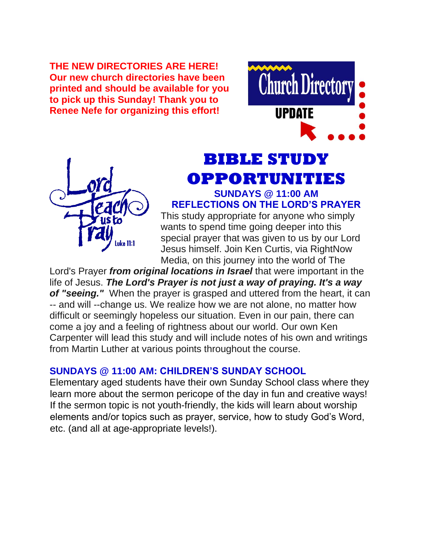**THE NEW DIRECTORIES ARE HERE! Our new church directories have been printed and should be available for you to pick up this Sunday! Thank you to Renee Nefe for organizing this effort!** 





# **BIBLE STUDY OPPORTUNITIES SUNDAYS @ 11:00 AM**

**REFLECTIONS ON THE LORD'S PRAYER** 

This study appropriate for anyone who simply wants to spend time going deeper into this special prayer that was given to us by our Lord Jesus himself. Join Ken Curtis, via RightNow Media, on this journey into the world of The

Lord's Prayer *from original locations in Israel* that were important in the life of Jesus. *The Lord's Prayer is not just a way of praying. It's a way of "seeing."* When the prayer is grasped and uttered from the heart, it can -- and will --change us. We realize how we are not alone, no matter how difficult or seemingly hopeless our situation. Even in our pain, there can come a joy and a feeling of rightness about our world. Our own Ken Carpenter will lead this study and will include notes of his own and writings from Martin Luther at various points throughout the course.

## **SUNDAYS @ 11:00 AM: CHILDREN'S SUNDAY SCHOOL**

Elementary aged students have their own Sunday School class where they learn more about the sermon pericope of the day in fun and creative ways! If the sermon topic is not youth-friendly, the kids will learn about worship elements and/or topics such as prayer, service, how to study God's Word, etc. (and all at age-appropriate levels!).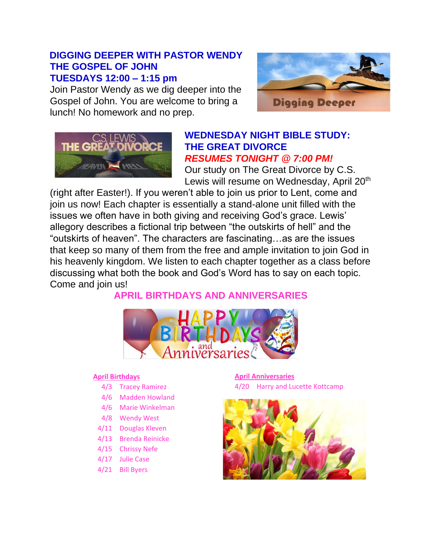## **DIGGING DEEPER WITH PASTOR WENDY THE GOSPEL OF JOHN TUESDAYS 12:00 – 1:15 pm**

Join Pastor Wendy as we dig deeper into the Gospel of John. You are welcome to bring a lunch! No homework and no prep.





#### **WEDNESDAY NIGHT BIBLE STUDY: THE GREAT DIVORCE** *RESUMES TONIGHT @ 7:00 PM!*

Our study on The Great Divorce by C.S. Lewis will resume on Wednesday, April 20<sup>th</sup>

(right after Easter!). If you weren't able to join us prior to Lent, come and join us now! Each chapter is essentially a stand-alone unit filled with the issues we often have in both giving and receiving God's grace. Lewis' allegory describes a fictional trip between "the outskirts of hell" and the "outskirts of heaven". The characters are fascinating…as are the issues that keep so many of them from the free and ample invitation to join God in his heavenly kingdom. We listen to each chapter together as a class before discussing what both the book and God's Word has to say on each topic. Come and join us!

**APRIL BIRTHDAYS AND ANNIVERSARIES**



#### **April Birthdays**

- 4/3 Tracey Ramirez
- 4/6 Madden Howland
- 4/6 Marie Winkelman
- 4/8 Wendy West
- 4/11 Douglas Kleven
- 4/13 Brenda Reinicke
- 4/15 Chrissy Nefe
- 4/17 Julie Case
- 4/21 Bill Byers

**April Anniversaries** 4/20 Harry and Lucette Kottcamp

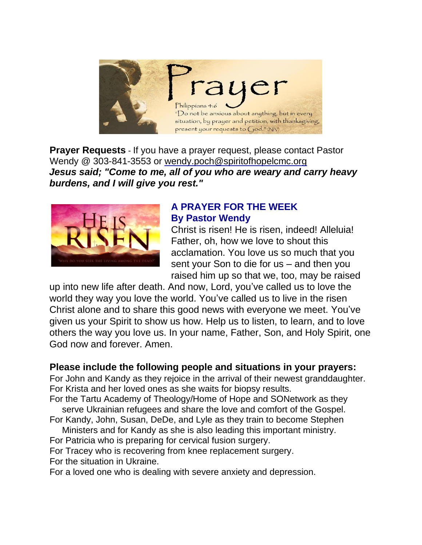

**Prayer Requests** - If you have a prayer request, please contact Pastor Wendy @ 303-841-3553 or wendy.poch@spiritofhopelcmc.org *Jesus said; "Come to me, all of you who are weary and carry heavy burdens, and I will give you rest."*



## **A PRAYER FOR THE WEEK By Pastor Wendy**

Christ is risen! He is risen, indeed! Alleluia! Father, oh, how we love to shout this acclamation. You love us so much that you sent your Son to die for us – and then you raised him up so that we, too, may be raised

up into new life after death. And now, Lord, you've called us to love the world they way you love the world. You've called us to live in the risen Christ alone and to share this good news with everyone we meet. You've given us your Spirit to show us how. Help us to listen, to learn, and to love others the way you love us. In your name, Father, Son, and Holy Spirit, one God now and forever. Amen.

## **Please include the following people and situations in your prayers:**

For John and Kandy as they rejoice in the arrival of their newest granddaughter. For Krista and her loved ones as she waits for biopsy results.

For the Tartu Academy of Theology/Home of Hope and SONetwork as they serve Ukrainian refugees and share the love and comfort of the Gospel.

- For Kandy, John, Susan, DeDe, and Lyle as they train to become Stephen Ministers and for Kandy as she is also leading this important ministry.
- For Patricia who is preparing for cervical fusion surgery.

For Tracey who is recovering from knee replacement surgery.

For the situation in Ukraine.

For a loved one who is dealing with severe anxiety and depression.